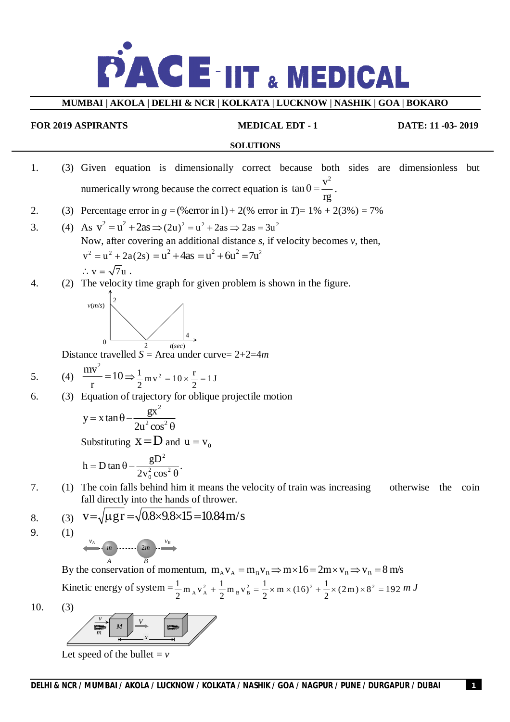

### **MUMBAI | AKOLA | DELHI & NCR | KOLKATA | LUCKNOW | NASHIK | GOA | BOKARO**

**FOR 2019 ASPIRANTS MEDICAL EDT - 1 DATE: 11 -03- 2019**

#### **SOLUTIONS**

- 1. (3) Given equation is dimensionally correct because both sides are dimensionless but numerically wrong because the correct equation is  $\tan \theta = \frac{v^2}{2}$ rg  $\theta =$  $\frac{V}{\cdot}$ .
- 2. (3) Percentage error in  $g = (\%$  error in 1) + 2(% error in *T*) = 1% + 2(3%) = 7%

3. (4) As 
$$
v^2 = u^2 + 2as \Rightarrow (2u)^2 = u^2 + 2as \Rightarrow 2as = 3u^2
$$
  
Now, after covering an additional distance *s*, if velocity becomes *v*, then,  

$$
v^2 = u^2 + 2a(2s) = u^2 + 4as = u^2 + 6u^2 = 7u^2
$$

$$
\therefore v = \sqrt{7}u.
$$

4. (2) The velocity time graph for given problem is shown in the figure.



Distance travelled *S* = Area under curve= 2+2=4*m*

5. (4) 
$$
\frac{mv^2}{r} = 10 \Rightarrow \frac{1}{2}mv^2 = 10 \times \frac{r}{2} = 1J
$$

6. (3) Equation of trajectory for oblique projectile motion

$$
y = x \tan \theta - \frac{gx^2}{2u^2 \cos^2 \theta}
$$

Substituting  $x = D$  and  $u = v_0$ 

$$
h = D \tan \theta - \frac{gD^2}{2v_0^2 \cos^2 \theta}.
$$

7. (1) The coin falls behind him it means the velocity of train was increasing otherwise the coin fall directly into the hands of thrower.

8. (3) 
$$
v = \sqrt{\mu gr} = \sqrt{0.8 \times 9.8 \times 15} = 10.84 \text{ m/s}
$$
  
9. (1)

*m* 2*m v<sup>A</sup> v<sup>B</sup>*

By the conservation of momentum,  $m_A v_A = m_B v_B \Rightarrow m \times 16 = 2m \times v_B \Rightarrow v_B = 8$  m/s Kinetic energy of system  $=\frac{1}{2}m_A v_A^2 + \frac{1}{2}m_B v_B^2$  $\frac{1}{2} m_A v_A^2 + \frac{1}{2} m_B v_B^2$ 2  $A^A$  2  $+\frac{1}{2}m_{B}v_{B}^{2} = \frac{1}{2} \times m \times (16)^{2} + \frac{1}{2} \times (2m) \times 8^{2} = 192$ 2 2  $=\frac{1}{2} \times m \times (16)^2 + \frac{1}{2} \times (2m) \times 8^2 = 192$  *m J* 

10. (3)



Let speed of the bullet  $= v$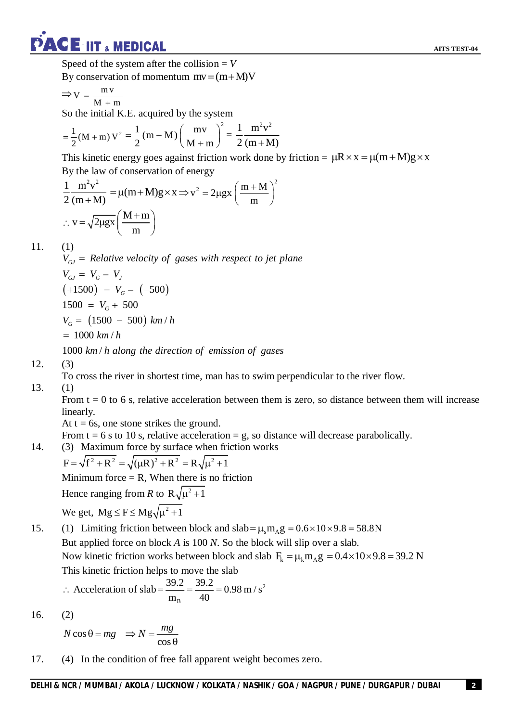Speed of the system after the collision  $= V$ By conservation of momentum  $mv = (m + M)V$ 

$$
\Rightarrow V = \frac{m\,v}{M+m}
$$

So the initial K.E. acquired by the system

$$
= \frac{1}{2}(M+m) V^{2} = \frac{1}{2}(m+M)\left(\frac{mv}{M+m}\right)^{2} = \frac{1}{2}\frac{m^{2}v^{2}}{(m+M)}
$$

This kinetic energy goes against friction work done by friction =  $\mu R \times x = \mu (m + M)g \times x$ By the law of conservation of energy

$$
\frac{1}{2} \frac{m^2 v^2}{(m+M)} = \mu(m+M)g \times x \Rightarrow v^2 = 2\mu gx \left(\frac{m+M}{m}\right)^2
$$
  
 
$$
\therefore v = \sqrt{2\mu gx} \left(\frac{M+m}{m}\right)
$$

### 11.  $(1)$

 $(+1500) = V_G - (-500)$  $V_G = (1500 - 500)$  km/h  $V_{GJ}$  = Relative velocity of gases with respect to jet plane  $V_{GJ} = V_G - V_J$  $1500 = V_G + 500$  $= 1000 \ km/h$ 

1000 km/h along the direction of emission of gases

### 12. (3)

To cross the river in shortest time, man has to swim perpendicular to the river flow.

### 13. (1)

From  $t = 0$  to 6 s, relative acceleration between them is zero, so distance between them will increase linearly.

At  $t = 6s$ , one stone strikes the ground.

From  $t = 6$  s to 10 s, relative acceleration = g, so distance will decrease parabolically.

14. (3) Maximum force by surface when friction works

$$
F = \sqrt{f^2 + R^2} = \sqrt{(\mu R)^2 + R^2} = R\sqrt{\mu^2 + 1}
$$

Minimum force  $=$  R, When there is no friction

Hence ranging from *R* to  $R\sqrt{\mu^2 + 1}$ 

We get,  $Mg \le F \le Mg\sqrt{\mu^2 + 1}$ 

15. (1) Limiting friction between block and  $slab = \mu_s m_A g = 0.6 \times 10 \times 9.8 = 58.8$ N But applied force on block *A* is 100 *N*. So the block will slip over a slab. Now kinetic friction works between block and slab  $F_k = \mu_k m_A g = 0.4 \times 10 \times 9.8 = 39.2 N$ This kinetic friction helps to move the slab

:. Acceleration of slab = 
$$
\frac{39.2}{m_B} = \frac{39.2}{40} = 0.98 \text{ m/s}^2
$$

16. (2)

cos cos  $N \cos \theta = mg \Rightarrow N = \frac{mg}{m}$  $\theta$ 

17. (4) In the condition of free fall apparent weight becomes zero.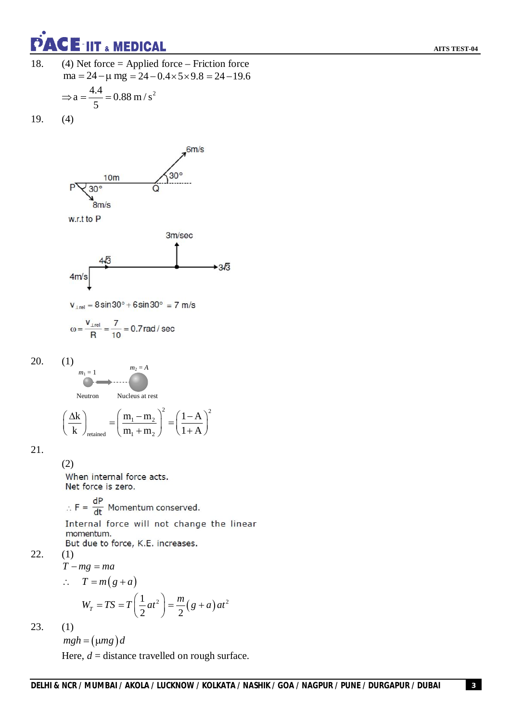

- 18. (4) Net force = Applied force Friction force  $ma = 24 - \mu mg = 24 - 0.4 \times 5 \times 9.8 = 24 - 19.6$  $\Rightarrow$  a =  $\frac{4.4}{5}$  = 0.88 m/s<sup>2</sup> 5  $=\frac{...}{ }=$  (
- 19. (4)



$$
\omega = \frac{V_{\perp rel}}{R} = \frac{7}{10} = 0.7 \text{ rad/sec}
$$

 $20.$  (1)

$$
\begin{aligned}\n &\text{Neutron} \\
 &\text{Neutron} \\
 &\left(\frac{\Delta k}{k}\right)_{\text{retained}} = \left(\frac{m_1 - m_2}{m_1 + m_2}\right)^2 = \left(\frac{1 - A}{1 + A}\right)^2\n\end{aligned}
$$

retained  $\mathbf{11}_1 + \mathbf{11}_2$ 

k  $\int_{\text{retained}}$   $\left( m_1 + m_2 \right)$   $\left( 1 + A \right)$ 

 $m_2 = A$ 

$$
21.
$$

(2) When internal force acts.

Net force is zero.

$$
F = \frac{dP}{dt}
$$
 Momentum conserved

Internal force will not change the linear momentum.

But due to force, K.E. increases.

$$
T - mg = ma
$$

 $(1)$ 

$$
\therefore T = m(g+a)
$$
  
 
$$
W_T = TS = T\left(\frac{1}{2}at^2\right) = \frac{m}{2}(g+a)at^2
$$

23. (1)

 $mgh = ( \mu mg ) d$ 

Here,  $d =$  distance travelled on rough surface.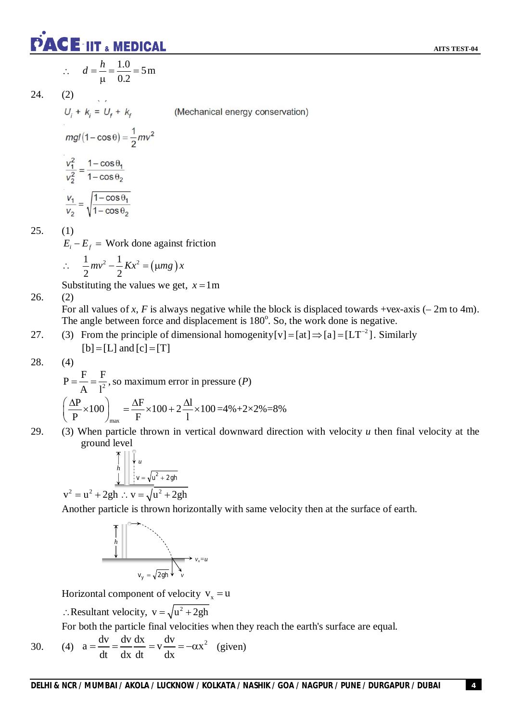**AITS TEST-04**



$$
\therefore d = \frac{h}{\mu} = \frac{1.0}{0.2} = 5 \,\mathrm{m}
$$

$$
24. (2)
$$

$$
mg/(1-\cos\theta) = \frac{v_1^2}{2}
$$

$$
\frac{v_1^2}{v_2^2} = \frac{1-\cos\theta_1}{1-\cos\theta_2}
$$

$$
\frac{v_1}{v_2} = \sqrt{\frac{1-\cos\theta_1}{1-\cos\theta_2}}
$$

25.  $(1)$ 

 $E_i - E_f$  = Work done against friction

$$
\therefore \quad \frac{1}{2}mv^2 - \frac{1}{2}Kx^2 = (\mu mg)x
$$

Substituting the values we get,  $x = 1$ m

26. (2)

For all values of *x*, *F* is always negative while the block is displaced towards +ve*x*-axis (– 2m to 4m). The angle between force and displacement is 180°. So, the work done is negative.

27. (3) From the principle of dimensional homogenity [v] = [at]  $\Rightarrow$  [a] = [LT<sup>-2</sup>]. Similarly  $[b] = [L]$  and  $[c] = [T]$ 

$$
28. \qquad (4)
$$

$$
P = \frac{F}{A} = \frac{F}{1^2}
$$
, so maximum error in pressure (*P*)  

$$
\left(\frac{\Delta P}{P} \times 100\right)_{\text{max}} = \frac{\Delta F}{F} \times 100 + 2\frac{\Delta I}{1} \times 100 = 4\% + 2 \times 2\% = 8\%
$$

29. (3) When particle thrown in vertical downward direction with velocity *u* then final velocity at the ground level

$$
\begin{array}{c|c}\n\hline\nh \\
h \\
v = \sqrt{u^2 + 2gh} \\
\hline\n\end{array}
$$

$$
v^2 = u^2 + 2gh \therefore v = \sqrt{u^2 + 2gh}
$$

Another particle is thrown horizontally with same velocity then at the surface of earth.



Horizontal component of velocity  $v_x = u$ 

: Resultant velocity,  $v = \sqrt{u^2 + 2gh}$ 

For both the particle final velocities when they reach the earth's surface are equal.

30. (4) 
$$
a = \frac{dv}{dt} = \frac{dv}{dx} \frac{dx}{dt} = v \frac{dv}{dx} = -\alpha x^2
$$
 (given)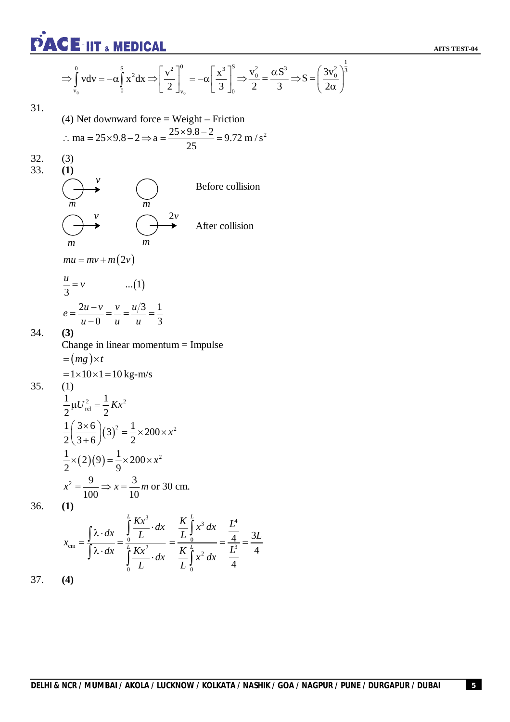**AITS TEST-04**

$$
\Rightarrow \int_{v_0}^{0} v dv = -\alpha \int_{0}^{S} x^2 dx \Rightarrow \left[ \frac{v^2}{2} \right]_{v_0}^{0} = -\alpha \left[ \frac{x^3}{3} \right]_{0}^{S} \Rightarrow \frac{v_0^2}{2} = \frac{\alpha S^3}{3} \Rightarrow S = \left( \frac{3v_0^2}{2\alpha} \right)^{\frac{1}{3}}
$$

 $2<sub>1</sub>$ 

31.  
\n(4) Net downward force = Weight – Friction  
\n
$$
\therefore ma = 25 \times 9.8 - 2 \Rightarrow a = \frac{25 \times 9.8 - 2}{25} = 9.72 \text{ m/s}^2
$$
  
\n32.  
\n(3)  
\n(4)  
\n $\uparrow$   
\n $\uparrow$   
\n $\uparrow$   
\n $\uparrow$   
\n $\uparrow$   
\n $\uparrow$   
\n $\uparrow$   
\n $\uparrow$   
\n $\uparrow$   
\n $\uparrow$   
\n $\uparrow$   
\n $\uparrow$   
\n $\uparrow$   
\n $\uparrow$   
\n $\uparrow$   
\n $\uparrow$   
\n $\uparrow$   
\n $\uparrow$   
\n $\uparrow$   
\n $\uparrow$   
\n $\downarrow$   
\n $\uparrow$   
\n $\downarrow$   
\n $\downarrow$   
\n $\downarrow$   
\n $\downarrow$   
\n $\downarrow$   
\n $\downarrow$   
\n $\downarrow$   
\n $\downarrow$   
\n $\downarrow$   
\n $\downarrow$   
\n $\downarrow$   
\n $\downarrow$   
\n $\downarrow$   
\n $\downarrow$   
\n $\downarrow$   
\n $\downarrow$   
\n $\downarrow$   
\n $\downarrow$   
\n $\downarrow$   
\n $\downarrow$   
\n $\downarrow$   
\n $\downarrow$   
\n $\downarrow$   
\n $\downarrow$   
\n $\downarrow$   
\n $\downarrow$   
\n $\downarrow$   
\n $\downarrow$   
\n $\downarrow$   
\n $\downarrow$   
\n $\downarrow$   
\n $\downarrow$   
\n $\downarrow$   
\n $\downarrow$   
\n $\downarrow$   
\n $\downarrow$   
\n $\downarrow$   
\n $\downarrow$   
\n $\downarrow$ 

 $\mathbf{0}$ 

*L*

 $\int_{0}^{\pi}$  and 4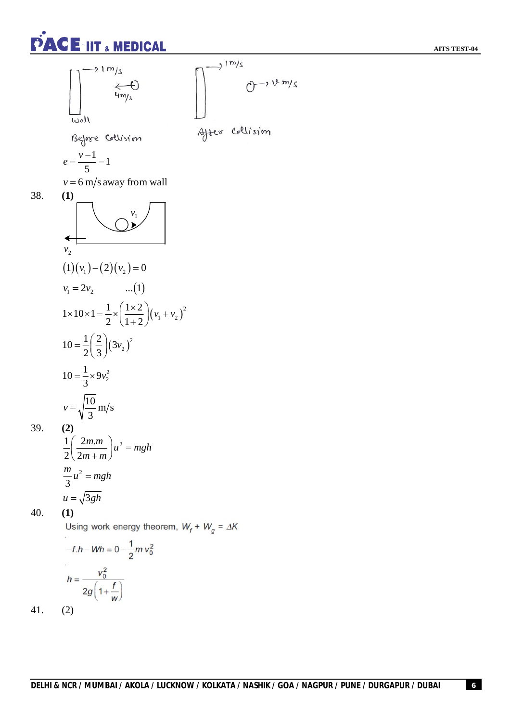**AITS TEST-04**



 $(2)$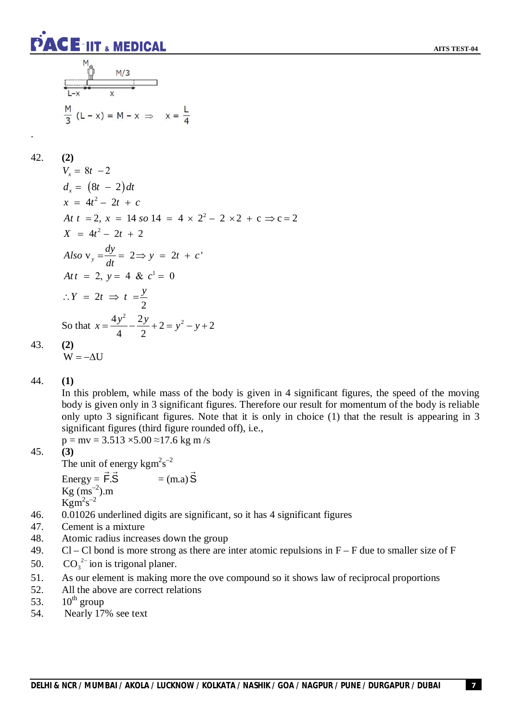$$
M_{\odot}
$$
\n
$$
M/3
$$
\nL-x\n
$$
x
$$
\n
$$
M/3
$$
\nL-x\n
$$
x
$$
\n
$$
M/3
$$
\n
$$
L-x
$$
\n
$$
x = \frac{L}{4}
$$

42. **(2)**

.

$$
V_x = 8t - 2
$$
  
\n
$$
d_x = (8t - 2)dt
$$
  
\n
$$
x = 4t^2 - 2t + c
$$
  
\nAt  $t = 2$ ,  $x = 14$  so  $14 = 4 \times 2^2 - 2 \times 2 + c \Rightarrow c = 2$   
\n
$$
X = 4t^2 - 2t + 2
$$
  
\nAlso  $v_y = \frac{dy}{dt} = 2 \Rightarrow y = 2t + c'$   
\n
$$
Att = 2, y = 4 \& c^1 = 0
$$
  
\n
$$
\therefore Y = 2t \Rightarrow t = \frac{y}{2}
$$
  
\nSo that  $x = \frac{4y^2}{4} - \frac{2y}{2} + 2 = y^2 - y + 2$   
\n(2)

43. **(2)**

$$
W = -\Delta U
$$

44. **(1)**

In this problem, while mass of the body is given in 4 significant figures, the speed of the moving body is given only in 3 significant figures. Therefore our result for momentum of the body is reliable only upto 3 significant figures. Note that it is only in choice (1) that the result is appearing in 3 significant figures (third figure rounded off), i.e.,

 $p = mv = 3.513 \times 5.00 \approx 17.6$  kg m/s 45. **(3)**

$$
45. \t(
$$

The unit of energy kgm<sup>2</sup>s<sup>-2</sup> 

Energy =  $\vec{F} \cdot \vec{S}$  $=$  (m.a)  $S$  $\rightarrow$  $\text{Kg (ms}^{-2})$ .m  $\mathrm{Kgm}^2\mathrm{s}^{-2}$ 

- 46. 0.01026 underlined digits are significant, so it has 4 significant figures
- 47. Cement is a mixture
- 48. Atomic radius increases down the group
- 49. Cl Cl bond is more strong as there are inter atomic repulsions in  $F F$  due to smaller size of F
- 50.  $CO_3^{2-}$  ion is trigonal planer.
- 51. As our element is making more the ove compound so it shows law of reciprocal proportions
- 52. All the above are correct relations
- 53.  $10^{th}$  group
- 54. Nearly 17% see text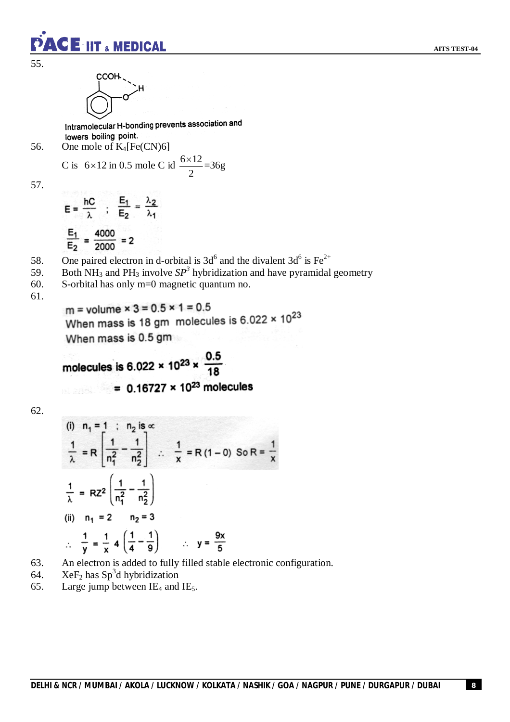55.



 $\mathsf{CE}$  iit  $_{\tiny{\text{\tiny{A}}} }$  medical

Intramolecular H-bonding prevents association and lowers boiling point.

56. One mole of K4[Fe(CN)6]

C is 
$$
6 \times 12
$$
 in 0.5 mole C id  $\frac{6 \times 12}{2} = 36$ g

57.

$$
E = \frac{hC}{\lambda} \quad ; \quad \frac{E_1}{E_2} = \frac{\lambda_2}{\lambda_1}
$$

$$
\frac{E_1}{E_2} = \frac{4000}{2000} = 2
$$

- 58. One paired electron in d-orbital is  $3d^6$  and the divalent  $3d^6$  is Fe<sup>2+</sup>
- 59. Both NH<sub>3</sub> and PH<sub>3</sub> involve  $SP<sup>3</sup>$  hybridization and have pyramidal geometry
- 60. S-orbital has only m=0 magnetic quantum no.

61.

m = volume  $\times$  3 = 0.5  $\times$  1 = 0.5 When mass is 18 gm molecules is  $6.022 \times 10^{23}$ When mass is 0.5 gm

molecules is 6.022  $\times$  10<sup>23</sup>  $\times \frac{0.5}{18}$ =  $0.16727 \times 10^{23}$  molecules

62.

(i) 
$$
n_1 = 1
$$
 ;  $n_2$  is  $\alpha$   
\n $\frac{1}{\lambda} = R \left[ \frac{1}{n_1^2} - \frac{1}{n_2^2} \right]$  :  $\frac{1}{x} = R(1 - 0)$  So  $R = \frac{1}{x}$   
\n $\frac{1}{\lambda} = RZ^2 \left( \frac{1}{n_1^2} - \frac{1}{n_2^2} \right)$   
\n(ii)  $n_1 = 2$   $n_2 = 3$   
\n $\therefore \frac{1}{y} = \frac{1}{x} 4 \left( \frac{1}{4} - \frac{1}{9} \right)$   $\therefore y = \frac{9x}{5}$ 

- 63. An electron is added to fully filled stable electronic configuration.
- 64. XeF<sub>2</sub> has Sp<sup>3</sup>d hybridization
- 65. Large jump between  $IE_4$  and  $IE_5$ .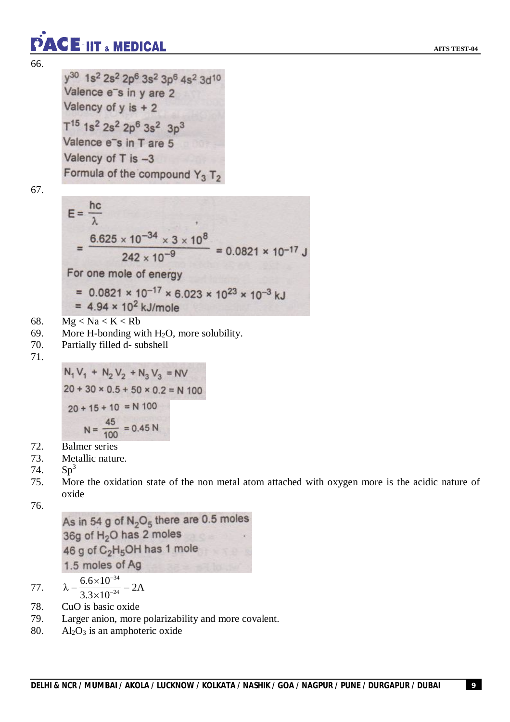66.

y<sup>30</sup> 1s<sup>2</sup> 2s<sup>2</sup> 2p<sup>6</sup> 3s<sup>2</sup> 3p<sup>6</sup> 4s<sup>2</sup> 3d<sup>10</sup> Valence e<sup>-</sup>s in y are 2 Valency of  $y$  is  $+2$  $T^{15}$  1s<sup>2</sup> 2s<sup>2</sup> 2p<sup>6</sup> 3s<sup>2</sup> 3p<sup>3</sup> Valence e<sup>-</sup>s in T are 5 Valency of T is -3 Formula of the compound  $Y_3$  T<sub>2</sub>

67.

$$
E = \frac{hc}{\lambda}
$$
  
= 
$$
\frac{6.625 \times 10^{-34} \times 3 \times 10^8}{242 \times 10^{-9}} = 0.0821 \times 10^{-17}
$$
  
For one mole of energy  
= 0.0821 × 10<sup>-17</sup> × 6.023 × 10<sup>23</sup> × 10<sup>-3</sup> kJ

$$
= 4.94 \times 10^2 \text{ kJ/mole}
$$

68.  $Mg < Na < K < Rb$ 

- 69. More H-bonding with  $H_2O$ , more solubility.
- 70. Partially filled d- subshell

71.

 $N_1 V_1 + N_2 V_2 + N_3 V_3 = NV$  $20 + 30 \times 0.5 + 50 \times 0.2 = N$  100  $20 + 15 + 10 = N 100$  $N = \frac{45}{100} = 0.45 N$ 

- 72. Balmer series
- 73. Metallic nature.
- 74.  $Sp<sup>3</sup>$
- 75. More the oxidation state of the non metal atom attached with oxygen more is the acidic nature of oxide

76.

As in 54 g of  $N_2O_5$  there are 0.5 moles 36g of H<sub>2</sub>O has 2 moles 46 g of C<sub>2</sub>H<sub>5</sub>OH has 1 mole 1.5 moles of Ag

77. 
$$
\lambda = \frac{6.6 \times 10^{-34}}{3.3 \times 10^{-24}} = 2A
$$

- 78. CuO is basic oxide
- 79. Larger anion, more polarizability and more covalent.
- 80. Al<sub>2</sub>O<sub>3</sub> is an amphoteric oxide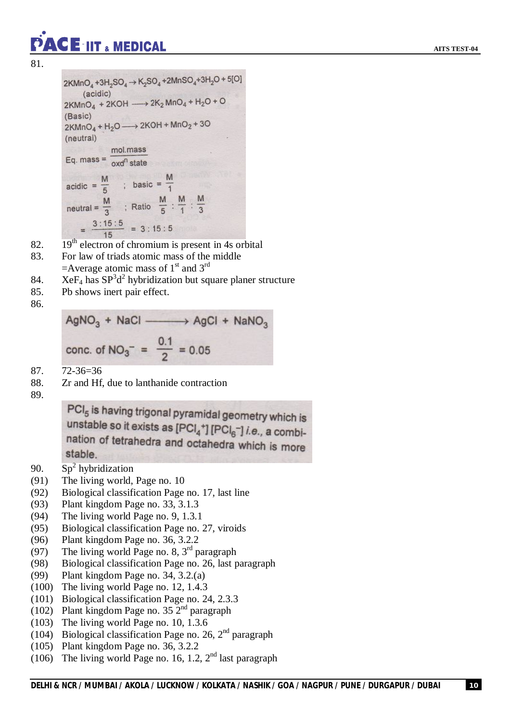81.

```
2KMnO_4 + 3H_2SO_4 \rightarrow K_2SO_4 + 2MnSO_4 + 3H_2O + 5[O](acidic)
2KMnO_4 + 2KOH \longrightarrow 2K_2MnO_4 + H_2O + O(Basic)
2KMnO_4 + H_2O \longrightarrow 2KOH + MnO_2 + 3O(neutral)
                 mol.mass
Eq. mass = \frac{1}{\text{oxd}^n \text{ state}}acidic = \frac{M}{5} ; basic = \frac{M}{1}<br>neutral = \frac{M}{3} ; Ratio \frac{M}{5} : \frac{M}{1} : \frac{M}{3}=\frac{3:15:5}{15}=3:15:5
```
- 82.  $19<sup>th</sup>$  electron of chromium is present in 4s orbital
- 83. For law of triads atomic mass of the middle  $=$ Average atomic mass of 1<sup>st</sup> and 3<sup>rd</sup>
- 84. Xe $F_4$  has  $SP^3d^2$  hybridization but square planer structure
- 85. Pb shows inert pair effect.

CE-IIT & MEDICAL

86.

 $AgNO<sub>3</sub> + NaCl$   $\longrightarrow AgCl + NaNO<sub>3</sub>$ conc. of NO<sub>3</sub><sup>-</sup> =  $\frac{0.1}{2}$  = 0.05

87. 72-36=36

88. Zr and Hf, due to lanthanide contraction

89.

PCI<sub>5</sub> is having trigonal pyramidal geometry which is unstable so it exists as  $[PCI_4^+] [PCI_6^-]$  *i.e.*, a combination of tetrahedra and octahedra which is more stable.

- 90.  $Sp^2$  hybridization
- (91) The living world, Page no. 10
- (92) Biological classification Page no. 17, last line
- (93) Plant kingdom Page no. 33, 3.1.3
- (94) The living world Page no. 9, 1.3.1
- (95) Biological classification Page no. 27, viroids
- (96) Plant kingdom Page no. 36, 3.2.2
- (97) The living world Page no. 8,  $3<sup>rd</sup>$  paragraph
- (98) Biological classification Page no. 26, last paragraph
- (99) Plant kingdom Page no. 34, 3.2.(a)
- (100) The living world Page no. 12, 1.4.3
- (101) Biological classification Page no. 24, 2.3.3
- (102) Plant kingdom Page no. 35  $2<sup>nd</sup>$  paragraph
- (103) The living world Page no. 10, 1.3.6
- (104) Biological classification Page no. 26,  $2<sup>nd</sup>$  paragraph
- (105) Plant kingdom Page no. 36, 3.2.2
- (106) The living world Page no. 16, 1.2,  $2<sup>nd</sup>$  last paragraph